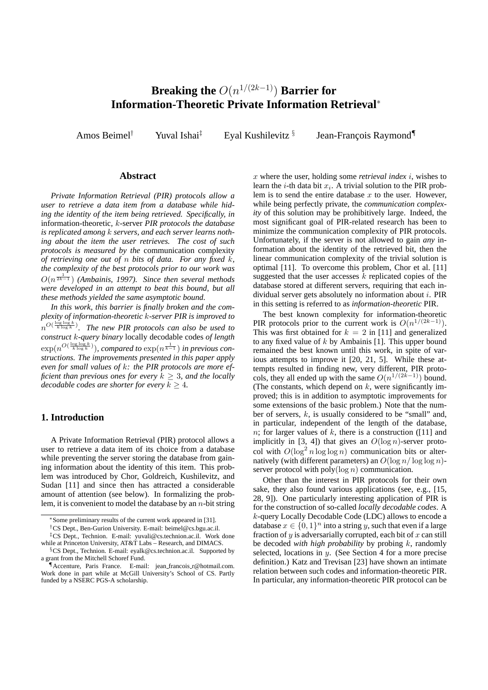# **Breaking the** O(n <sup>1</sup>/(2k−1)) **Barrier for Information-Theoretic Private Information Retrieval**<sup>∗</sup>

Amos Beimel<sup>†</sup> Yuval Ishai<sup>‡</sup> Eyal Kushilevitz  $\S$ 

Jean-François Raymond<sup>¶</sup>

#### **Abstract**

*Private Information Retrieval (PIR) protocols allow a user to retrieve a data item from a database while hiding the identity of the item being retrieved. Specifically, in* information-theoretic*,* k-server *PIR protocols the database is replicated among* k *servers, and each server learns nothing about the item the user retrieves. The cost of such protocols is measured by the* communication complexity *of retrieving one out of* n *bits of data. For any fixed* k*, the complexity of the best protocols prior to our work was*  $O(n^{\frac{1}{2k-1}})$  (Ambainis, 1997). Since then several methods *were developed in an attempt to beat this bound, but all these methods yielded the same asymptotic bound.*

*In this work, this barrier is finally broken and the complexity of information-theoretic* k*-server PIR is improved to*  $n^{O(\frac{\log \log k}{k \log k})}$ . The new PIR protocols can also be used to *construct* k*-query binary* locally decodable codes *of length*  $\exp(n^{O(\frac{\log\log k}{k\log k})})$ , compared to  $\exp(n^{\frac{1}{k-1}})$  in previous con*structions. The improvements presented in this paper apply even for small values of* k*: the PIR protocols are more efficient than previous ones for every*  $k \geq 3$ *, and the locally decodable codes are shorter for every*  $k \geq 4$ *.* 

## **1. Introduction**

A Private Information Retrieval (PIR) protocol allows a user to retrieve a data item of its choice from a database while preventing the server storing the database from gaining information about the identity of this item. This problem was introduced by Chor, Goldreich, Kushilevitz, and Sudan [11] and since then has attracted a considerable amount of attention (see below). In formalizing the problem, it is convenient to model the database by an  $n$ -bit string x where the user, holding some *retrieval index* i, wishes to learn the *i*-th data bit  $x_i$ . A trivial solution to the PIR problem is to send the entire database  $x$  to the user. However, while being perfectly private, the *communication complexity* of this solution may be prohibitively large. Indeed, the most significant goal of PIR-related research has been to minimize the communication complexity of PIR protocols. Unfortunately, if the server is not allowed to gain *any* information about the identity of the retrieved bit, then the linear communication complexity of the trivial solution is optimal [11]. To overcome this problem, Chor et al. [11] suggested that the user accesses  $k$  replicated copies of the database stored at different servers, requiring that each individual server gets absolutely no information about i. PIR in this setting is referred to as *information-theoretic* PIR.

The best known complexity for information-theoretic PIR protocols prior to the current work is  $O(n^{1/(2k-1)})$ . This was first obtained for  $k = 2$  in [11] and generalized to any fixed value of  $k$  by Ambainis [1]. This upper bound remained the best known until this work, in spite of various attempts to improve it [20, 21, 5]. While these attempts resulted in finding new, very different, PIR protocols, they all ended up with the same  $O(n^{1/(2k-1)})$  bound. (The constants, which depend on  $k$ , were significantly improved; this is in addition to asymptotic improvements for some extensions of the basic problem.) Note that the number of servers,  $k$ , is usually considered to be "small" and, in particular, independent of the length of the database, n; for larger values of k, there is a construction ([11] and implicitly in [3, 4]) that gives an  $O(\log n)$ -server protocol with  $O(\log^2 n \log \log n)$  communication bits or alternatively (with different parameters) an  $O(\log n / \log \log n)$ server protocol with  $poly(log n)$  communication.

Other than the interest in PIR protocols for their own sake, they also found various applications (see, e.g., [15, 28, 9]). One particularly interesting application of PIR is for the construction of so-called *locally decodable codes*. A k-query Locally Decodable Code (LDC) allows to encode a database  $x \in \{0,1\}^n$  into a string y, such that even if a large fraction of  $y$  is adversarially corrupted, each bit of  $x$  can still be decoded *with high probability* by probing k, randomly selected, locations in y. (See Section 4 for a more precise definition.) Katz and Trevisan [23] have shown an intimate relation between such codes and information-theoretic PIR. In particular, any information-theoretic PIR protocol can be

<sup>∗</sup>Some preliminary results of the current work appeared in [31].

<sup>†</sup>CS Dept., Ben-Gurion University. E-mail: beimel@cs.bgu.ac.il.

<sup>‡</sup>CS Dept., Technion. E-mail: yuvali@cs.technion.ac.il. Work done while at Princeton University, AT&T Labs – Research, and DIMACS.

<sup>§</sup>CS Dept., Technion. E-mail: eyalk@cs.technion.ac.il. Supported by a grant from the Mitchell Schoref Fund.

<sup>¶</sup>Accenture, Paris France. E-mail: jean francois r@hotmail.com. Work done in part while at McGill University's School of CS. Partly funded by a NSERC PGS-A scholarship.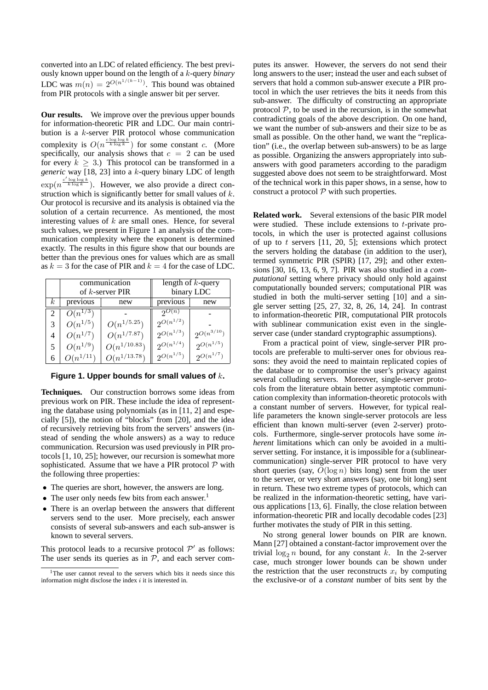converted into an LDC of related efficiency. The best previously known upper bound on the length of a k-query *binary* LDC was  $m(n) = 2^{O(n^{1/(k-1)})}$ . This bound was obtained from PIR protocols with a single answer bit per server.

**Our results.** We improve over the previous upper bounds for information-theoretic PIR and LDC. Our main contribution is a k-server PIR protocol whose communication complexity is  $O(n^{\frac{c \log \log k}{k \log k}})$  for some constant c. (More specifically, our analysis shows that  $c = 2$  can be used for every  $k > 3$ .) This protocol can be transformed in a *generic* way [18, 23] into a k-query binary LDC of length  $\exp(n^{\frac{c' \log \log k}{k \log k}})$ . However, we also provide a direct construction which is significantly better for small values of  $k$ . Our protocol is recursive and its analysis is obtained via the solution of a certain recurrence. As mentioned, the most interesting values of  $k$  are small ones. Hence, for several such values, we present in Figure 1 an analysis of the communication complexity where the exponent is determined exactly. The results in this figure show that our bounds are better than the previous ones for values which are as small as  $k = 3$  for the case of PIR and  $k = 4$  for the case of LDC.

|          | communication<br>of k-server PIR |                  | length of $k$ -query<br>binary LDC |                   |
|----------|----------------------------------|------------------|------------------------------------|-------------------|
| $\kappa$ | previous                         | new              | previous                           | new               |
|          | $O(n^{1/3})$                     |                  | $2^{\mathcal{O}(n)}$               |                   |
| 3        | $O(n^{1/5})$                     | $O(n^{1/5.25})$  | $2^{O(n^{1/2})}$                   |                   |
| 4        | $O(n^{1/7})$                     | $O(n^{1/7.87})$  | $2^{O(n^{1/3})}$                   | $2^{O(n^{3/10})}$ |
|          | $O(n^{1/9})$                     | $O(n^{1/10.83})$ | $2^{O(n^{1/4})}$                   | $2^{O(n^{1/5})}$  |
| 6        | $O(n^{1/11})$                    | $O(n^{1/13.78})$ | $2^{O(n^{1/5})}$                   | $2^{O(n^{1/7})}$  |

**Figure 1. Upper bounds for small values of** k**.**

**Techniques.** Our construction borrows some ideas from previous work on PIR. These include the idea of representing the database using polynomials (as in [11, 2] and especially [5]), the notion of "blocks" from [20], and the idea of recursively retrieving bits from the servers' answers (instead of sending the whole answers) as a way to reduce communication. Recursion was used previously in PIR protocols [1, 10, 25]; however, our recursion is somewhat more sophisticated. Assume that we have a PIR protocol  $P$  with the following three properties:

- The queries are short, however, the answers are long.
- The user only needs few bits from each answer.<sup>1</sup>
- There is an overlap between the answers that different servers send to the user. More precisely, each answer consists of several sub-answers and each sub-answer is known to several servers.

This protocol leads to a recursive protocol  $\mathcal{P}'$  as follows: The user sends its queries as in  $P$ , and each server computes its answer. However, the servers do not send their long answers to the user; instead the user and each subset of servers that hold a common sub-answer execute a PIR protocol in which the user retrieves the bits it needs from this sub-answer. The difficulty of constructing an appropriate protocol  $P$ , to be used in the recursion, is in the somewhat contradicting goals of the above description. On one hand, we want the number of sub-answers and their size to be as small as possible. On the other hand, we want the "replication" (i.e., the overlap between sub-answers) to be as large as possible. Organizing the answers appropriately into subanswers with good parameters according to the paradigm suggested above does not seem to be straightforward. Most of the technical work in this paper shows, in a sense, how to construct a protocol  $P$  with such properties.

**Related work.** Several extensions of the basic PIR model were studied. These include extensions to  $t$ -private protocols, in which the user is protected against collusions of up to t servers  $[11, 20, 5]$ ; extensions which protect the servers holding the database (in addition to the user), termed symmetric PIR (SPIR) [17, 29]; and other extensions [30, 16, 13, 6, 9, 7]. PIR was also studied in a *computational* setting where privacy should only hold against computationally bounded servers; computational PIR was studied in both the multi-server setting [10] and a single server setting [25, 27, 32, 8, 26, 14, 24]. In contrast to information-theoretic PIR, computational PIR protocols with sublinear communication exist even in the singleserver case (under standard cryptographic assumptions).

From a practical point of view, single-server PIR protocols are preferable to multi-server ones for obvious reasons: they avoid the need to maintain replicated copies of the database or to compromise the user's privacy against several colluding servers. Moreover, single-server protocols from the literature obtain better asymptotic communication complexity than information-theoretic protocols with a constant number of servers. However, for typical reallife parameters the known single-server protocols are less efficient than known multi-server (even 2-server) protocols. Furthermore, single-server protocols have some *inherent* limitations which can only be avoided in a multiserver setting. For instance, it is impossible for a (sublinearcommunication) single-server PIR protocol to have very short queries (say,  $O(\log n)$  bits long) sent from the user to the server, or very short answers (say, one bit long) sent in return. These two extreme types of protocols, which can be realized in the information-theoretic setting, have various applications [13, 6]. Finally, the close relation between information-theoretic PIR and locally decodable codes [23] further motivates the study of PIR in this setting.

No strong general lower bounds on PIR are known. Mann [27] obtained a constant-factor improvement over the trivial  $\log_2 n$  bound, for any constant k. In the 2-server case, much stronger lower bounds can be shown under the restriction that the user reconstructs  $x_i$  by computing the exclusive-or of a *constant* number of bits sent by the

<sup>&</sup>lt;sup>1</sup>The user cannot reveal to the servers which bits it needs since this information might disclose the index  $i$  it is interested in.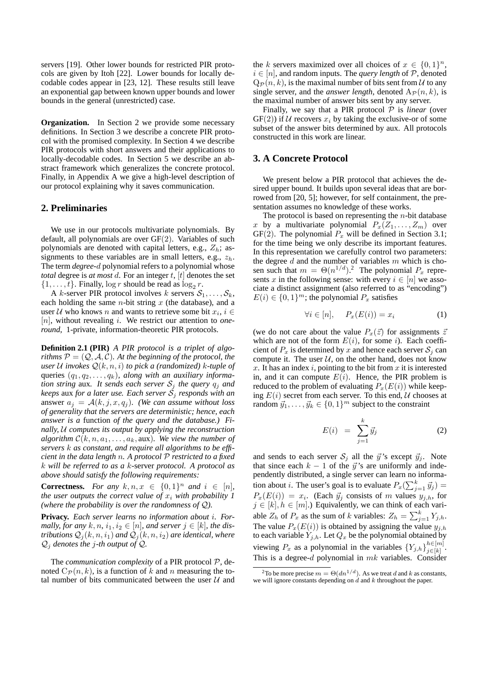servers [19]. Other lower bounds for restricted PIR protocols are given by Itoh [22]. Lower bounds for locally decodable codes appear in [23, 12]. These results still leave an exponential gap between known upper bounds and lower bounds in the general (unrestricted) case.

**Organization.** In Section 2 we provide some necessary definitions. In Section 3 we describe a concrete PIR protocol with the promised complexity. In Section 4 we describe PIR protocols with short answers and their applications to locally-decodable codes. In Section 5 we describe an abstract framework which generalizes the concrete protocol. Finally, in Appendix A we give a high-level description of our protocol explaining why it saves communication.

## **2. Preliminaries**

We use in our protocols multivariate polynomials. By default, all polynomials are over GF(2). Variables of such polynomials are denoted with capital letters, e.g.,  $Z_h$ ; assignments to these variables are in small letters, e.g.,  $z_h$ . The term *degree-*d polynomial refers to a polynomial whose *total* degree is *at most* d. For an integer t, [t] denotes the set  $\{1, \ldots, t\}$ . Finally,  $\log r$  should be read as  $\log_2 r$ .

A k-server PIR protocol involves k servers  $S_1, \ldots, S_k$ , each holding the same  $n$ -bit string  $x$  (the database), and a user U who knows n and wants to retrieve some bit  $x_i, i \in$ [n], without revealing i. We restrict our attention to *oneround*, 1-private, information-theoretic PIR protocols.

**Definition 2.1 (PIR)** *A PIR protocol is a triplet of algorithms*  $P = (Q, A, C)$ *. At the beginning of the protocol, the user*  $U$  *invokes*  $Q(k, n, i)$  *to pick a (randomized) k*-tuple of queries (q1, q2, . . . , qk)*, along with an auxiliary information string* aux. It sends each server  $S_j$  the query  $q_j$  and *keeps* aux *for a later use. Each server* S<sup>j</sup> *responds with an* answer  $a_j = A(k, j, x, q_j)$ *. (We can assume without loss of generality that the servers are deterministic; hence, each answer is a* function *of the query and the database.) Finally,* U *computes its output by applying the reconstruction algorithm*  $C(k, n, a_1, \ldots, a_k, \text{aux})$ *. We view the number of servers* k *as constant, and require all algorithms to be efficient in the data length* n*. A protocol* P *restricted to a fixed* k *will be referred to as a* k-server *protocol. A protocol as above should satisfy the following requirements:*

**Correctness.** *For any*  $k, n, x \in \{0, 1\}^n$  *and*  $i \in [n]$ *, the user outputs the correct value of*  $x_i$  *with probability 1 (where the probability is over the randomness of* Q*).*

**Privacy.** *Each server learns no information about* i*. Formally, for any*  $k, n, i_1, i_2 \in [n]$ *, and server*  $j \in [k]$ *, the distributions*  $Q_i(k, n, i_1)$  *and*  $Q_i(k, n, i_2)$  *are identical, where* Q<sup>j</sup> *denotes the* j*-th output of* Q*.*

The *communication complexity* of a PIR protocol  $P$ , denoted  $C_{\mathcal{P}}(n, k)$ , is a function of k and n measuring the total number of bits communicated between the user  $U$  and

the k servers maximized over all choices of  $x \in \{0,1\}^n$ ,  $i \in [n]$ , and random inputs. The *query length* of  $P$ , denoted  $Q_{\mathcal{P}}(n, k)$ , is the maximal number of bits sent from U to any single server, and the *answer length*, denoted  $A_{\mathcal{P}}(n, k)$ , is the maximal number of answer bits sent by any server.

Finally, we say that a PIR protocol  $P$  is *linear* (over  $GF(2)$ ) if U recovers  $x_i$  by taking the exclusive-or of some subset of the answer bits determined by aux. All protocols constructed in this work are linear.

## **3. A Concrete Protocol**

We present below a PIR protocol that achieves the desired upper bound. It builds upon several ideas that are borrowed from [20, 5]; however, for self containment, the presentation assumes no knowledge of these works.

The protocol is based on representing the  $n$ -bit database x by a multivariate polynomial  $P_x(Z_1, \ldots, Z_m)$  over GF(2). The polynomial  $P_x$  will be defined in Section 3.1; for the time being we only describe its important features. In this representation we carefully control two parameters: the degree  $d$  and the number of variables  $m$  which is chosen such that  $m = \Theta(n^{1/d})$ .<sup>2</sup> The polynomial  $P_x$  represents x in the following sense: with every  $i \in [n]$  we associate a distinct assignment (also referred to as "encoding")  $E(i) \in \{0, 1\}^m$ ; the polynomial  $P_x$  satisfies

$$
\forall i \in [n], \quad P_x(E(i)) = x_i \tag{1}
$$

(we do not care about the value  $P_x(\vec{z})$  for assignments  $\vec{z}$ which are not of the form  $E(i)$ , for some i). Each coefficient of  $P_x$  is determined by x and hence each server  $S_i$  can compute it. The user  $U$ , on the other hand, does not know  $x$ . It has an index  $i$ , pointing to the bit from  $x$  it is interested in, and it can compute  $E(i)$ . Hence, the PIR problem is reduced to the problem of evaluating  $P_x(E(i))$  while keeping  $E(i)$  secret from each server. To this end, U chooses at random  $\vec{y}_1, \ldots, \vec{y}_k \in \{0, 1\}^m$  subject to the constraint

$$
E(i) = \sum_{j=1}^{k} \vec{y}_j
$$
 (2)

and sends to each server  $S_i$  all the  $\vec{y}$ 's except  $\vec{y}_i$ . Note that since each  $k - 1$  of the  $\vec{y}$ 's are uniformly and independently distributed, a single server can learn no information about *i*. The user's goal is to evaluate  $P_x(\sum_{j=1}^k \vec{y}_j)$  =  $P_x(E(i)) = x_i$ . (Each  $\vec{y}_j$  consists of m values  $y_{j,h}$ , for  $j \in [k], h \in [m]$ .) Equivalently, we can think of each variable  $Z_h$  of  $P_x$  as the sum of k variables:  $Z_h = \sum_{j=1}^k Y_{j,h}$ . The value  $P_x(E(i))$  is obtained by assigning the value  $y_{j,h}$ to each variable  $Y_{j,h}$ . Let  $Q_x$  be the polynomial obtained by viewing  $P_x$  as a polynomial in the variables  $\{Y_{j,h}\}_{h\in[k]}^{h\in[m]}$  $n∈[*m*]$ <br> $j∈[*k*]$ This is a degree- $d$  polynomial in  $mk$  variables. Consider

<sup>&</sup>lt;sup>2</sup>To be more precise  $m = \Theta(dn^{1/d})$ . As we treat d and k as constants, we will ignore constants depending on  $\hat{d}$  and  $k$  throughout the paper.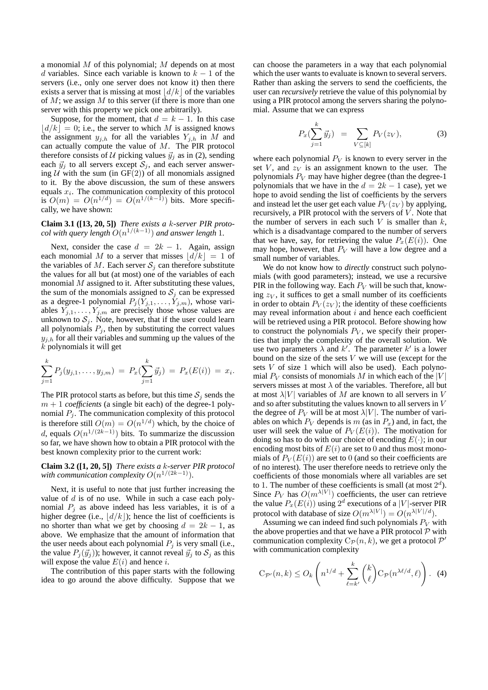a monomial  $M$  of this polynomial;  $M$  depends on at most d variables. Since each variable is known to  $k - 1$  of the servers (i.e., only one server does not know it) then there exists a server that is missing at most  $\left| d/k \right|$  of the variables of  $M$ ; we assign  $M$  to this server (if there is more than one server with this property we pick one arbitrarily).

Suppose, for the moment, that  $d = k - 1$ . In this case  $\vert d/k \vert = 0$ ; i.e., the server to which M is assigned knows the assignment  $y_{i,h}$  for all the variables  $Y_{i,h}$  in M and can actually compute the value of M. The PIR protocol therefore consists of U picking values  $\vec{y}_j$  as in (2), sending each  $\vec{y}_j$  to all servers except  $S_j$ , and each server answering  $U$  with the sum (in GF(2)) of all monomials assigned to it. By the above discussion, the sum of these answers equals  $x_i$ . The communication complexity of this protocol is  $O(m) = O(n^{1/d}) = O(n^{1/(k-1)})$  bits. More specifically, we have shown:

#### **Claim 3.1 ([13, 20, 5])** *There exists a* k*-server PIR protocol with query length*  $O(n^{1/(k-1)})$  *and answer length* 1*.*

Next, consider the case  $d = 2k - 1$ . Again, assign each monomial M to a server that misses  $\lfloor d/k \rfloor = 1$  of the variables of M. Each server  $S_i$  can therefore substitute the values for all but (at most) one of the variables of each monomial  $M$  assigned to it. After substituting these values, the sum of the monomials assigned to  $S_j$  can be expressed as a degree-1 polynomial  $P_j(\tilde{Y}_{j,1},\ldots,\tilde{Y}_{j,m})$ , whose variables  $Y_{j,1}, \ldots, Y_{j,m}$  are precisely those whose values are unknown to  $S_j$ . Note, however, that if the user could learn all polynomials  $P_j$ , then by substituting the correct values  $y_{j,h}$  for all their variables and summing up the values of the k polynomials it will get

$$
\sum_{j=1}^k P_j(y_{j,1},\ldots,y_{j,m}) = P_x(\sum_{j=1}^k \vec{y}_j) = P_x(E(i)) = x_i.
$$

The PIR protocol starts as before, but this time  $S_i$  sends the  $m + 1$  *coefficients* (a single bit each) of the degree-1 polynomial  $P_i$ . The communication complexity of this protocol is therefore still  $O(m) = O(n^{1/d})$  which, by the choice of d, equals  $O(n^{1/(2k-1)})$  bits. To summarize the discussion so far, we have shown how to obtain a PIR protocol with the best known complexity prior to the current work:

**Claim 3.2 ([1, 20, 5])** *There exists a* k*-server PIR protocol* with communication complexity  $O(n^{1/(2k-1)})$ .

Next, it is useful to note that just further increasing the value of  $d$  is of no use. While in such a case each polynomial  $P_i$  as above indeed has less variables, it is of a higher degree (i.e.,  $\left| d/k \right|$ ); hence the list of coefficients is no shorter than what we get by choosing  $d = 2k - 1$ , as above. We emphasize that the amount of information that the user needs about each polynomial  $P_i$  is very small (i.e., the value  $P_i(\vec{y}_i)$ ; however, it cannot reveal  $\vec{y}_i$  to  $S_i$  as this will expose the value  $E(i)$  and hence i.

The contribution of this paper starts with the following idea to go around the above difficulty. Suppose that we can choose the parameters in a way that each polynomial which the user wants to evaluate is known to several servers. Rather than asking the servers to send the coefficients, the user can *recursively* retrieve the value of this polynomial by using a PIR protocol among the servers sharing the polynomial. Assume that we can express

$$
P_x(\sum_{j=1}^k \vec{y}_j) = \sum_{V \subseteq [k]} P_V(z_V), \tag{3}
$$

where each polynomial  $P_V$  is known to every server in the set V, and  $z_V$  is an assignment known to the user. The polynomials  $P_V$  may have higher degree (than the degree-1 polynomials that we have in the  $d = 2k - 1$  case), yet we hope to avoid sending the list of coefficients by the servers and instead let the user get each value  $P_V(z_V)$  by applying, recursively, a PIR protocol with the servers of  $V$ . Note that the number of servers in each such  $V$  is smaller than  $k$ , which is a disadvantage compared to the number of servers that we have, say, for retrieving the value  $P<sub>x</sub>(E(i))$ . One may hope, however, that  $P_V$  will have a low degree and a small number of variables.

We do not know how to *directly* construct such polynomials (with good parameters); instead, we use a recursive PIR in the following way. Each  $P_V$  will be such that, knowing  $z_V$ , it suffices to get a small number of its coefficients in order to obtain  $P_V(z_V)$ ; the identity of these coefficients may reveal information about  $i$  and hence each coefficient will be retrieved using a PIR protocol. Before showing how to construct the polynomials  $P_V$ , we specify their properties that imply the complexity of the overall solution. We use two parameters  $\lambda$  and k'. The parameter k' is a lower bound on the size of the sets  $V$  we will use (except for the sets  $V$  of size 1 which will also be used). Each polynomial  $P_V$  consists of monomials M in which each of the |V| servers misses at most  $\lambda$  of the variables. Therefore, all but at most  $\lambda|V|$  variables of M are known to all servers in V and so after substituting the values known to all servers in V the degree of  $P_V$  will be at most  $\lambda|V|$ . The number of variables on which  $P_V$  depends is m (as in  $P_x$ ) and, in fact, the user will seek the value of  $P_V(E(i))$ . The motivation for doing so has to do with our choice of encoding  $E(\cdot)$ ; in our encoding most bits of  $E(i)$  are set to 0 and thus most monomials of  $P_V(E(i))$  are set to 0 (and so their coefficients are of no interest). The user therefore needs to retrieve only the coefficients of those monomials where all variables are set to 1. The number of these coefficients is small (at most  $2<sup>d</sup>$ ). Since  $P_V$  has  $O(m^{\lambda|V|})$  coefficients, the user can retrieve the value  $P_x(E(i))$  using  $2^d$  executions of a |V|-server PIR protocol with database of size  $O(m^{\lambda|V|}) = O(n^{\lambda|V|/d})$ .

Assuming we can indeed find such polynomials  $P_V$  with the above properties and that we have a PIR protocol  $P$  with communication complexity  $C_{\mathcal{P}}(n, k)$ , we get a protocol  $\mathcal{P}'$ with communication complexity

$$
C_{\mathcal{P}'}(n,k) \le O_k\left(n^{1/d} + \sum_{\ell=k'}^k {k \choose \ell} C_{\mathcal{P}}(n^{\lambda \ell/d}, \ell)\right). \tag{4}
$$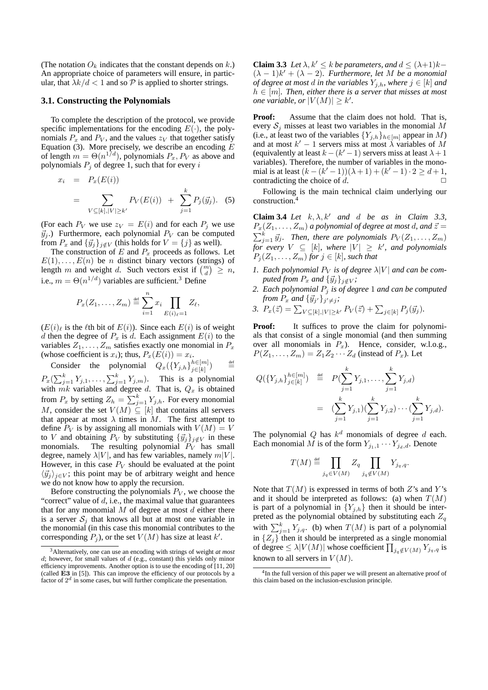(The notation  $O_k$  indicates that the constant depends on k.) An appropriate choice of parameters will ensure, in particular, that  $\lambda k/d < 1$  and so P is applied to shorter strings.

#### **3.1. Constructing the Polynomials**

To complete the description of the protocol, we provide specific implementations for the encoding  $E(\cdot)$ , the polynomials  $P_x$  and  $P_y$ , and the values  $z_y$  that together satisfy Equation (3). More precisely, we describe an encoding  $\overline{E}$ of length  $m = \Theta(n^{1/d})$ , polynomials  $P_x, P_V$  as above and polynomials  $P_i$  of degree 1, such that for every i

$$
x_i = P_x(E(i))
$$
  
= 
$$
\sum_{V \subseteq [k], |V| \ge k'} P_V(E(i)) + \sum_{j=1}^k P_j(\vec{y}_j).
$$
 (5)

(For each  $P_V$  we use  $z_V = E(i)$  and for each  $P_j$  we use  $\vec{y}_j$ .) Furthermore, each polynomial  $P_V$  can be computed from  $P_x$  and  ${\{\vec{y}_j\}}_{j \notin V}$  (this holds for  $V = \{j\}$  as well).

The construction of  $E$  and  $P_x$  proceeds as follows. Let  $E(1), \ldots, E(n)$  be *n* distinct binary vectors (strings) of length m and weight d. Such vectors exist if  $\binom{m}{d} \geq n$ , i.e.,  $m = \Theta(n^{1/d})$  variables are sufficient.<sup>3</sup> Define

$$
P_x(Z_1,\ldots,Z_m) \stackrel{\text{def}}{=} \sum_{i=1}^n x_i \prod_{E(i)_\ell=1} Z_\ell,
$$

 $(E(i))$  is the  $\ell$ th bit of  $E(i)$ ). Since each  $E(i)$  is of weight d then the degree of  $P_x$  is d. Each assignment  $E(i)$  to the variables  $Z_1, \ldots, Z_m$  satisfies exactly one monomial in  $P_x$ (whose coefficient is  $x_i$ ); thus,  $P_x(E(i)) = x_i$ .

Consider the polynomial  $Q_x(\lbrace Y_{j,h} \rbrace_{i \in [k]}^{h \in [m]}$  $\frac{h \in [m]}{j \in [k]}$ ) def  $P_x(\sum_{j=1}^k Y_{j,1}, \ldots, \sum_{j=1}^k Y_{j,m})$ . This is a polynomial with  $mk$  variables and degree d. That is,  $Q_x$  is obtained from  $P_x$  by setting  $Z_h = \sum_{j=1}^k Y_{j,h}$ . For every monomial M, consider the set  $V(M) \subseteq [k]$  that contains all servers that appear at most  $\lambda$  times in M. The first attempt to define  $P_V$  is by assigning all monomials with  $V(M) = V$ to *V* and obtaining  $P_V$  by substituting  ${\bar{y}_j}_{j \notin V}$  in these monomials. The resulting polynomial  $P_V$  has small The resulting polynomial  $P_V$  has small degree, namely  $\lambda |V|$ , and has few variables, namely  $m|V|$ . However, in this case  $P_V$  should be evaluated at the point  $\langle \vec{y}_i \rangle_{i \in V}$ ; this point may be of arbitrary weight and hence we do not know how to apply the recursion.

Before constructing the polynomials  $P_V$ , we choose the "correct" value of  $d$ , i.e., the maximal value that guarantees that for any monomial  $M$  of degree at most  $d$  either there is a server  $S_i$  that knows all but at most one variable in the monomial (in this case this monomial contributes to the corresponding  $P_j$ ), or the set  $V(M)$  has size at least  $k'$ .

**Claim 3.3** *Let*  $\lambda, k' \leq k$  *be parameters, and*  $d \leq (\lambda+1)k (\lambda - 1)k' + (\lambda - 2)$ . Furthermore, let M be a monomial *of degree at most d in the variables*  $Y_{j,h}$ *, where*  $j \in [k]$  *and*  $h \in [m]$ . Then, either there is a server that misses at most *one variable, or*  $|V(M)| \geq k'$ .

**Proof:** Assume that the claim does not hold. That is, every  $S_i$  misses at least two variables in the monomial M (i.e., at least two of the variables  ${Y_{j,h}}_{h \in [m]}$  appear in M) and at most  $k' - 1$  servers miss at most  $\lambda$  variables of  $\overrightarrow{M}$ (equivalently at least  $k - (k' - 1)$  servers miss at least  $\lambda + 1$ variables). Therefore, the number of variables in the monomial is at least  $(k - (k' - 1))(\lambda + 1) + (k' - 1) \cdot 2 \ge d + 1$ , contradicting the choice of  $d$ .  $\Box$ 

Following is the main technical claim underlying our construction.<sup>4</sup>

**Claim 3.4** *Let*  $k, \lambda, k'$  *and d be as in Claim 3.3,*  $P_x(Z_1, \ldots, Z_m)$  *a polynomial of degree at most d, and*  $\vec{z} =$  $\sum_{j=1}^{k} \vec{y}_j$ . Then, there are polynomials  $P_V(Z_1, \ldots, Z_m)$  $\overline{f}$ *for every*  $V \subseteq [k]$ *, where*  $|V| \geq k'$ *, and polynomials*  $(P_j(Z_1, \ldots, Z_m)$  *for*  $j \in [k]$ *, such that* 

- *1. Each polynomial*  $P_V$  *is of degree*  $\lambda|V|$  *and can be computed from*  $P_x$  *and*  ${\{\vec{y}_j\}}_{j \notin V}$ *;*
- *2. Each polynomial* P<sup>j</sup> *is of degree* 1 *and can be computed from*  $\overline{P_x}$  *and*  ${\{\vec{y}_j\}}_{j' \neq j}$ ;
- 3.  $P_x(\vec{z}) = \sum_{V \subseteq [k], |V| \ge k'} P_V(\vec{z}) + \sum_{j \in [k]} P_j(\vec{y}_j).$

**Proof:** It suffices to prove the claim for polynomials that consist of a single monomial (and then summing over all monomials in  $P_x$ ). Hence, consider, w.l.o.g.,  $P(Z_1, \ldots, Z_m) = Z_1 Z_2 \cdots Z_d$  (instead of  $P_x$ ). Let

$$
Q(\lbrace Y_{j,h} \rbrace_{j \in [k]}^{h \in [m]}) \stackrel{\text{def}}{=} P(\sum_{j=1}^{k} Y_{j,1}, \dots, \sum_{j=1}^{k} Y_{j,d})
$$
  

$$
= (\sum_{j=1}^{k} Y_{j,1})(\sum_{j=1}^{k} Y_{j,2}) \cdots (\sum_{j=1}^{k} Y_{j,d}).
$$

The polynomial Q has  $k^d$  monomials of degree d each. Each monomial M is of the form  $Y_{j_1,1} \cdots Y_{j_d,d}$ . Denote

$$
T(M) \stackrel{\text{def}}{=} \prod_{j_q \in V(M)} Z_q \prod_{j_q \notin V(M)} Y_{j_q,q}.
$$

Note that  $T(M)$  is expressed in terms of both Z's and Y's and it should be interpreted as follows: (a) when  $T(M)$ is part of a polynomial in  ${Y_{i,h}}$  then it should be interpreted as the polynomial obtained by substituting each  $Z_q$ with  $\sum_{j=1}^{k} Y_{j,q}$ . (b) when  $T(M)$  is part of a polynomial in  ${Z_j}$  then it should be interpreted as a single monomial of degree  $\leq \lambda |V(M)|$  whose coefficient  $\prod_{j_q \notin V(M)} Y_{j_q,q}$  is known to all servers in  $V(M)$ .

<sup>3</sup>Alternatively, one can use an encoding with strings of weight *at most*  $d$ ; however, for small values of  $d$  (e.g., constant) this yields only minor efficiency improvements. Another option is to use the encoding of [11, 20] (called E3 in [5]). This can improve the efficiency of our protocols by a factor of  $2<sup>d</sup>$  in some cases, but will further complicate the presentation.

<sup>4</sup> In the full version of this paper we will present an alternative proof of this claim based on the inclusion-exclusion principle.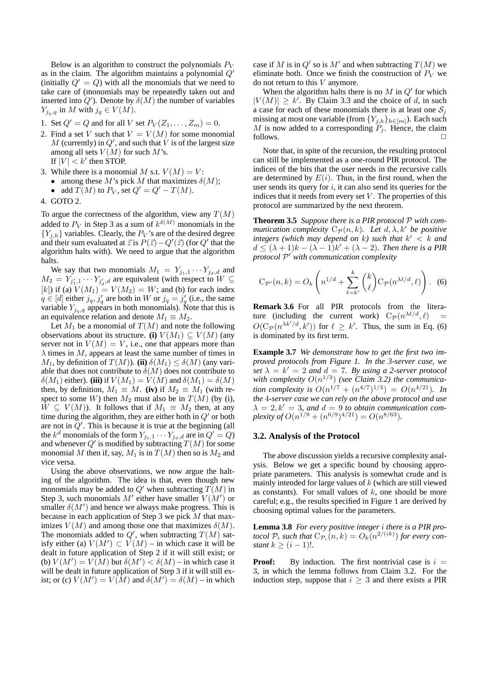Below is an algorithm to construct the polynomials  $P_V$ as in the claim. The algorithm maintains a polynomial  $Q<sup>i</sup>$ (initially  $Q' = Q$ ) with all the monomials that we need to take care of (monomials may be repeatedly taken out and inserted into  $Q'$ ). Denote by  $\delta(M)$  the number of variables  $Y_{j_q,q}$  in M with  $j_q \in V(M)$ .

- 1. Set  $Q' = Q$  and for all V set  $P_V(Z_1, \ldots, Z_m) = 0$ .
- 2. Find a set V such that  $V = V(M)$  for some monomial M (currently) in  $Q'$ , and such that  $\acute{V}$  is of the largest size among all sets  $V(M)$  for such M's. If  $|V| < k'$  then STOP.
- 3. While there is a monomial M s.t.  $V(M) = V$ : • among these M's pick M that maximizes  $\delta(M)$ ; • add  $T(M)$  to  $P_V$ , set  $Q' = Q' - T(M)$ .
- 4. GOTO 2.

To argue the correctness of the algorithm, view any  $T(M)$ added to  $P_V$  in Step 3 as a sum of  $k^{\delta(M)}$  monomials in the  ${Y_{i,h}}$  variables. Clearly, the  $P_V$ 's are of the desired degree and their sum evaluated at  $\vec{z}$  is  $\vec{P}(\vec{z}) - Q'(\vec{z})$  (for  $Q'$  that the algorithm halts with). We need to argue that the algorithm halts.

We say that two monomials  $M_1 = Y_{j_1,1} \cdots Y_{j_d,d}$  and  $M_2 = Y_{j'_1,1} \cdots Y_{j'_d,d}$  are equivalent (with respect to  $W \subseteq$ [k]) if (a)  $V(M_1) = V(M_2) = W$ ; and (b) for each index  $q \in [d]$  either  $j_q$ ,  $j_q$  are both in W or  $j_q = j_q$  (i.e., the same variable  $Y_{j_q,q}$  appears in both monomials). Note that this is an equivalence relation and denote  $M_1 \equiv M_2$ .

Let  $M_1$  be a monomial of  $T(M)$  and note the following observations about its structure. **(i)**  $V(M_1) \subseteq V(M)$  (any server not in  $V(M) = V$ , i.e., one that appears more than  $\lambda$  times in M, appears at least the same number of times in  $M_1$ , by definition of  $T(M)$ ). **(ii)**  $\delta(M_1) \leq \delta(M)$  (any variable that does not contribute to  $\delta(M)$  does not contribute to  $\delta(M_1)$  either). **(iii)** if  $V(M_1) = V(M)$  and  $\delta(M_1) = \delta(M)$ then, by definition,  $M_1 \equiv M$ . **(iv)** if  $M_2 \equiv M_1$  (with respect to some W) then  $M_2$  must also be in  $T(M)$  (by (i),  $\overline{W} \subseteq V(M)$ ). It follows that if  $M_1 \equiv M_2$  then, at any time during the algorithm, they are either both in  $Q'$  or both are not in  $\ddot{Q}$ . This is because it is true at the beginning (all the  $k^d$  monomials of the form  $Y_{j_1,1} \cdots Y_{j_d,d}$  are in  $Q' = Q$ ) and whenever Q' is modified by subtracting  $T(M)$  for some monomial M then if, say,  $M_1$  is in  $T(M)$  then so is  $M_2$  and vice versa.

Using the above observations, we now argue the halting of the algorithm. The idea is that, even though new monomials may be added to  $Q'$  when subtracting  $T(M)$  in Step 3, such monomials M' either have smaller  $V(M')$  or smaller  $\delta(M')$  and hence we always make progress. This is because in each application of Step 3 we pick M that maximizes  $V(M)$  and among those one that maximizes  $\delta(M)$ . The monomials added to  $Q'$ , when subtracting  $T(M)$  satisfy either (a)  $V(M') \subset V(M)$  – in which case it will be dealt in future application of Step 2 if it will still exist; or (b)  $V(M') = V(M)$  but  $\delta(M') < \delta(M)$  – in which case it will be dealt in future application of Step 3 if it will still exist; or (c)  $V(M') = V(M)$  and  $\delta(M') = \delta(M)$  – in which

case if M is in Q' so is M' and when subtracting  $T(M)$  we eliminate both. Once we finish the construction of  $P_V$  we do not return to this V anymore.

When the algorithm halts there is no  $M$  in  $Q'$  for which  $|V(M)| \geq k'$ . By Claim 3.3 and the choice of d, in such a case for each of these monomials there is at least one  $S_i$ missing at most one variable (from  ${Y_{j,h}}_{h \in [m]}$ ). Each such M is now added to a corresponding  $P_j$ . Hence, the claim follows.  $\Box$ 

Note that, in spite of the recursion, the resulting protocol can still be implemented as a one-round PIR protocol. The indices of the bits that the user needs in the recursive calls are determined by  $E(i)$ . Thus, in the first round, when the user sends its query for  $i$ , it can also send its queries for the indices that it needs from every set  $V$ . The properties of this protocol are summarized by the next theorem.

**Theorem 3.5** *Suppose there is a PIR protocol* P *with communication complexity*  $C_{\mathcal{P}}(n, k)$ *. Let*  $d, \lambda, k'$  *be positive* integers (which may depend on k) such that  $k' < k$  and  $d \leq (\lambda + 1)k - (\lambda - 1)k' + (\lambda - 2)$ . Then there is a PIR protocol  $P'$  with communication complexity

$$
C_{\mathcal{P}'}(n,k) = O_k\left(n^{1/d} + \sum_{\ell=k'}^k {k \choose \ell} C_{\mathcal{P}}(n^{\lambda \ell/d}, \ell)\right).
$$
 (6)

**Remark 3.6** For all PIR protocols from the literature (including the current work)  $C_{\mathcal{P}}(n^{\lambda \ell/d}, \ell) =$  $O(C_{\mathcal{P}}(n^{\lambda k'/d}, k'))$  for  $\ell \geq k'$ . Thus, the sum in Eq. (6) is dominated by its first term.

**Example 3.7** *We demonstrate how to get the first two improved protocols from Figure 1. In the 3-server case, we* set  $\lambda = k' = 2$  and  $d = 7$ . By using a 2-server protocol with complexity  $O(n^{1/3})$  (see Claim 3.2) the communica*tion complexity is*  $O(n^{1/7} + (n^{4/7})^{1/3}) = O(n^{4/21})$ *. In the* 4*-server case we can rely on the above protocol and use*  $\lambda = 2, k' = 3$ , and  $d = 9$  to obtain communication com*plexity of*  $O(n^{1/9} + (n^{6/9})^{4/21}) = O(n^{8/63})$ *.* 

## **3.2. Analysis of the Protocol**

The above discussion yields a recursive complexity analysis. Below we get a specific bound by choosing appropriate parameters. This analysis is somewhat crude and is mainly intended for large values of  $k$  (which are still viewed as constants). For small values of  $k$ , one should be more careful; e.g., the results specified in Figure 1 are derived by choosing optimal values for the parameters.

**Lemma 3.8** *For every positive integer* i *there is a PIR protocol*  $P_i$  *such that*  $C_{P_i}(n,k) = O_k(n^{2/(ik)})$  *for every constant*  $k \geq (i-1)!$ *.* 

**Proof:** By induction. The first nontrivial case is  $i =$ 3, in which the lemma follows from Claim 3.2. For the induction step, suppose that  $i \geq 3$  and there exists a PIR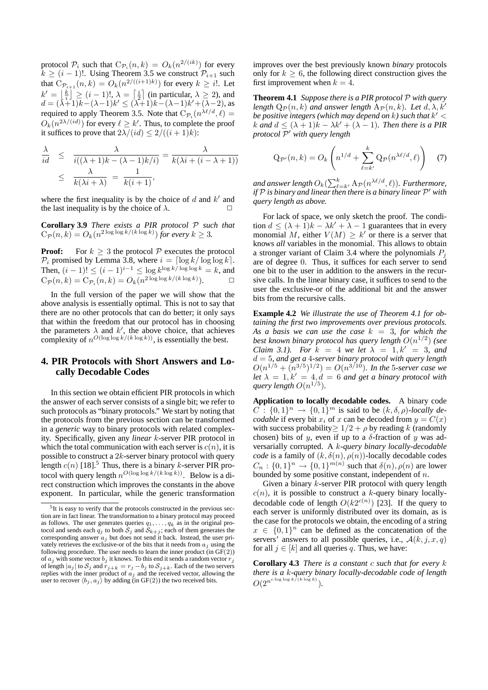protocol  $P_i$  such that  $C_{\mathcal{P}_i}(n,k) = O_k(n^{2/(ik)})$  for every  $k \geq (i-1)!$ . Using Theorem 3.5 we construct  $\mathcal{P}_{i+1}$  such that  $\hat{\mathbf{C}}_{\mathcal{P}_{i+1}}(n,k) = O_k(n^{2/((i+1)k)})$  for every  $k \geq i!$ . Let  $k' = \lfloor \frac{k}{i} \rfloor \ge (i-1)!, \lambda = \lceil \frac{i}{2} \rceil$  (in particular,  $\lambda \ge 2$ ), and  $d = (\lambda+1)\overline{k} - (\lambda-1)\overline{k}' \leq (\lambda+1)\overline{k} - (\lambda-1)\overline{k}' + (\lambda-2)$ , as required to apply Theorem 3.5. Note that  $C_{\mathcal{P}_i}(n^{\lambda \ell/d}, \ell) =$  $O_k(n^{2\lambda/(id)})$  for every  $\ell \geq k'$ . Thus, to complete the proof it suffices to prove that  $2\lambda/(id) \leq 2/((i+1)k)$ :

$$
\frac{\lambda}{id} \leq \frac{\lambda}{i((\lambda+1)k - (\lambda-1)k/i)} = \frac{\lambda}{k(\lambda i + (i-\lambda+1))}
$$
  

$$
\leq \frac{\lambda}{k(\lambda i + \lambda)} = \frac{1}{k(i+1)},
$$

where the first inequality is by the choice of  $d$  and  $k'$  and the last inequality is by the choice of  $\lambda$ .

**Corollary 3.9** *There exists a PIR protocol* P *such that*  $C_{\mathcal{P}}(n,k) = O_k(n^{2\log\log k/(k\log k)})$  *for every*  $k \geq 3$ *.* 

**Proof:** For  $k \geq 3$  the protocol  $P$  executes the protocol  $P_i$  promised by Lemma 3.8, where  $i = \lceil \log k / \log \log k \rceil$ . Then,  $(i - 1)! \le (i - 1)^{i-1} \le \log k^{\log k / \log \log k} = k$ , and  $C_{\mathcal{P}}(n,k) = C_{\mathcal{P}_i}(n,k) = O_k(n^{2\log\log k/(k\log k)}).$ 

In the full version of the paper we will show that the above analysis is essentially optimal. This is not to say that there are no other protocols that can do better; it only says that within the freedom that our protocol has in choosing the parameters  $\lambda$  and  $k'$ , the above choice, that achieves complexity of  $n^{O(\log \log k/(k \log k))}$ , is essentially the best.

## **4. PIR Protocols with Short Answers and Locally Decodable Codes**

In this section we obtain efficient PIR protocols in which the answer of each server consists of a single bit; we refer to such protocols as "binary protocols." We start by noting that the protocols from the previous section can be transformed in a *generic* way to binary protocols with related complexity. Specifically, given any *linear* k-server PIR protocol in which the total communication with each server is  $c(n)$ , it is possible to construct a  $2k$ -server binary protocol with query length  $c(n)$  [18].<sup>5</sup> Thus, there is a binary k-server PIR protocol with query length  $n^{O(\log \log k/(k \log k))}$ . Below is a direct construction which improves the constants in the above exponent. In particular, while the generic transformation improves over the best previously known *binary* protocols only for  $k > 6$ , the following direct construction gives the first improvement when  $k = 4$ .

**Theorem 4.1** *Suppose there is a PIR protocol* P *with query length*  $Q_{\mathcal{P}}(n,k)$  *and answer length*  $A_{\mathcal{P}}(n,k)$ *. Let*  $d, \lambda, k'$ *be positive integers (which may depend on* k*) such that* k <sup>0</sup> < k and  $d \leq (\lambda + 1)k - \lambda k' + (\lambda - 1)$ *. Then there is a PIR protocol* P <sup>0</sup> *with query length*

$$
Q_{\mathcal{P}'}(n,k) = O_k\left(n^{1/d} + \sum_{\ell=k'}^{k} Q_{\mathcal{P}}(n^{\lambda \ell/d}, \ell)\right) \quad (7)
$$

and answer length  $O_k(\sum_{\ell = k'}^k \mathrm{A}_{\mathcal{P}}(n^{\lambda \ell/d}, \ell)).$  Furthermore, *if* P is binary and linear then there is a binary linear P' with *query length as above.*

For lack of space, we only sketch the proof. The condition  $d \leq (\lambda + 1)k - \lambda k' + \lambda - 1$  guarantees that in every monomial M, either  $V(M) \geq k'$  or there is a server that knows *all* variables in the monomial. This allows to obtain a stronger variant of Claim 3.4 where the polynomials  $P_i$ are of degree 0. Thus, it suffices for each server to send one bit to the user in addition to the answers in the recursive calls. In the linear binary case, it suffices to send to the user the exclusive-or of the additional bit and the answer bits from the recursive calls.

**Example 4.2** *We illustrate the use of Theorem 4.1 for obtaining the first two improvements over previous protocols.* As a basis we can use the case  $k = 3$ , for which the *best known binary protocol has query length* O(n 1/2 ) *(see Claim 3.1). For*  $k = 4$  *we let*  $\lambda = 1, k' = 3$ *, and* d = 5*, and get a* 4*-server binary protocol with query length*  $O(n^{1/5} + (n^{3/5})^{1/2}) = O(n^{3/10})$ . In the 5-server case we *let*  $\lambda = 1, k' = 4, d = 6$  *and get a binary protocol with* query length  $O(n^{1/5})$ .

**Application to locally decodable codes.** A binary code  $C: \{0,1\}^n \rightarrow \{0,1\}^m$  is said to be  $(k, \delta, \rho)$ *-locally decodable* if every bit  $x_i$  of x can be decoded from  $y = C(x)$ with success probability  $\geq 1/2 + \rho$  by reading k (randomly chosen) bits of y, even if up to a  $\delta$ -fraction of y was adversarially corrupted. A k*-query binary locally-decodable code* is a family of  $(k, \delta(n), \rho(n))$ -locally decodable codes  $C_n: \{0,1\}^n \to \{0,1\}^{m(n)}$  such that  $\delta(n)$ ,  $\rho(n)$  are lower bounded by some positive constant, independent of  $n$ .

Given a binary *k*-server PIR protocol with query length  $c(n)$ , it is possible to construct a k-query binary locallydecodable code of length  $O(k2^{c(n)})$  [23]. If the query to each server is uniformly distributed over its domain, as is the case for the protocols we obtain, the encoding of a string  $x \in \{0,1\}^n$  can be defined as the concatenation of the servers' answers to all possible queries, i.e.,  $A(k, j, x, q)$ for all  $j \in [k]$  and all queries q. Thus, we have:

**Corollary 4.3** *There is a constant* c *such that for every* k *there is a* k*-query binary locally-decodable code of length*  $O(2^{n^{c \log \log k/(k \log k)}}).$ 

<sup>&</sup>lt;sup>5</sup>It is easy to verify that the protocols constructed in the previous section are in fact linear. The transformation to a binary protocol may proceed as follows. The user generates queries  $q_1, \ldots, q_k$  as in the original protocol and sends each  $q_j$  to both  $S_j$  and  $S_{k+j}$ ; each of them generates the corresponding answer  $a_j$  but does not send it back. Instead, the user privately retrieves the exclusive-or of the bits that it needs from  $a_i$  using the following procedure. The user needs to learn the inner product  $(in GF(2))$ of  $a_j$  with some vector  $b_j$  it knows. To this end it sends a random vector  $r_j$ of length  $|a_j|$  to  $S_j$  and  $r_{j+k} = r_j - b_j$  to  $S_{j+k}$ . Each of the two servers replies with the inner product of  $a_j$  and the received vector, allowing the user to recover  $\langle b_j, a_j \rangle$  by adding (in GF(2)) the two received bits.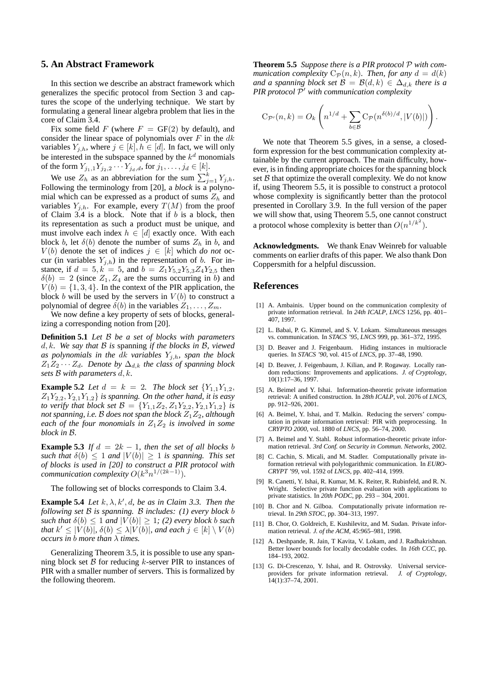## **5. An Abstract Framework**

In this section we describe an abstract framework which generalizes the specific protocol from Section 3 and captures the scope of the underlying technique. We start by formulating a general linear algebra problem that lies in the core of Claim 3.4.

Fix some field F (where  $F = GF(2)$  by default), and consider the linear space of polynomials over  $F$  in the  $dk$ variables  $Y_{j,h}$ , where  $j \in [k], h \in [d]$ . In fact, we will only be interested in the subspace spanned by the  $k^d$  monomials of the form  $Y_{j_1,1}Y_{j_2,2} \cdots Y_{j_d,d}$ , for  $j_1, \ldots, j_d \in [k]$ .

We use  $Z_h$  as an abbreviation for the sum  $\sum_{j=1}^k Y_{j,h}$ . Following the terminology from [20], a *block* is a polynomial which can be expressed as a product of sums  $Z_h$  and variables  $Y_{i,h}$ . For example, every  $T(M)$  from the proof of Claim  $3.4$  is a block. Note that if b is a block, then its representation as such a product must be unique, and must involve each index  $h \in [d]$  exactly once. With each block b, let  $\delta(b)$  denote the number of sums  $Z_h$  in b, and  $V(b)$  denote the set of indices  $j \in [k]$  which *do not* occur (in variables  $Y_{j,h}$ ) in the representation of b. For instance, if  $d = 5, k = 5$ , and  $b = Z_1 Y_{5,2} Y_{5,3} Z_4 Y_{2,5}$  then  $\delta(b) = 2$  (since  $Z_1, Z_4$  are the sums occurring in b) and  $V(b) = \{1, 3, 4\}$ . In the context of the PIR application, the block b will be used by the servers in  $V(b)$  to construct a polynomial of degree  $\delta(b)$  in the variables  $Z_1, \ldots, Z_m$ .

We now define a key property of sets of blocks, generalizing a corresponding notion from [20].

**Definition 5.1** *Let* B *be a set of blocks with parameters* d, k*. We say that* B *is* spanning *if the blocks in* B*, viewed* as polynomials in the  $dk$  *variables*  $Y_{j,h}$ *, span the block*  $Z_1Z_2 \cdots Z_d$ . Denote by  $\Delta_{d,k}$  the class of spanning block *sets* B *with parameters* d, k*.*

**Example 5.2** *Let*  $d = k = 2$ *. The block set*  ${Y_{1,1}Y_{1,2}}$ ,  $Z_1Y_{2,2}, Y_{2,1}Y_{1,2}$  *is spanning. On the other hand, it is easy to verify that block set*  $\mathcal{B} = \{Y_{1,1}Z_2, Z_1Y_{2,2}, Y_{2,1}Y_{1,2}\}$  *is not spanning, i.e.* B *does not span the block*  $Z_1Z_2$ *, although each of the four monomials in*  $Z_1Z_2$  *is involved in some block in* B*.*

**Example 5.3** *If*  $d = 2k - 1$ *, then the set of all blocks b such that*  $\delta(b) \leq 1$  *and*  $|V(b)| \geq 1$  *is spanning. This set of blocks is used in [20] to construct a PIR protocol with*  $\sum_{k=1}^{\infty}$  *communication complexity*  $O(k^3 n^{1/(2k-1)})$ .

The following set of blocks corresponds to Claim 3.4.

**Example 5.4** *Let*  $k, \lambda, k', d$ , *be as in Claim 3.3. Then the following set* B *is spanning.* B *includes: (1) every block* b *such that*  $\delta(b) \leq 1$  *and*  $|V(b)| \geq 1$ *; (2) every block b such that*  $k' \leq |V(b)|$ ,  $\delta(b) \leq \lambda |V(b)|$ , and each  $j \in [k] \setminus V(b)$ *occurs in* b *more than* λ *times.*

Generalizing Theorem 3.5, it is possible to use any spanning block set  $\beta$  for reducing k-server PIR to instances of PIR with a smaller number of servers. This is formalized by the following theorem.

**Theorem 5.5** *Suppose there is a PIR protocol* P *with communication complexity*  $C_{\mathcal{P}}(n, k)$ *. Then, for any*  $d = d(k)$ *and a spanning block set*  $\mathcal{B} = \mathcal{B}(d, k) \in \Delta_{d,k}$  *there is a* PIR protocol  $\overline{P}'$  with communication complexity

$$
C_{\mathcal{P}'}(n,k) = O_k\left(n^{1/d} + \sum_{b \in \mathcal{B}} C_{\mathcal{P}}(n^{\delta(b)/d}, |V(b)|)\right).
$$

We note that Theorem 5.5 gives, in a sense, a closedform expression for the best communication complexity attainable by the current approach. The main difficulty, however, is in finding appropriate choices for the spanning block set  $\beta$  that optimize the overall complexity. We do not know if, using Theorem 5.5, it is possible to construct a protocol whose complexity is significantly better than the protocol presented in Corollary 3.9. In the full version of the paper we will show that, using Theorem 5.5, one cannot construct a protocol whose complexity is better than  $O(n^{1/k^2})$ .

**Acknowledgments.** We thank Enav Weinreb for valuable comments on earlier drafts of this paper. We also thank Don Coppersmith for a helpful discussion.

## **References**

- [1] A. Ambainis. Upper bound on the communication complexity of private information retrieval. In *24th ICALP*, *LNCS* 1256, pp. 401– 407, 1997.
- [2] L. Babai, P. G. Kimmel, and S. V. Lokam. Simultaneous messages vs. communication. In *STACS '95*, *LNCS* 999, pp. 361–372, 1995.
- [3] D. Beaver and J. Feigenbaum. Hiding instances in multioracle queries. In *STACS '90*, vol. 415 of *LNCS*, pp. 37–48, 1990.
- [4] D. Beaver, J. Feigenbaum, J. Kilian, and P. Rogaway. Locally random reductions: Improvements and applications. *J. of Cryptology*, 10(1):17–36, 1997.
- [5] A. Beimel and Y. Ishai. Information-theoretic private information retrieval: A unified construction. In *28th ICALP*, vol. 2076 of *LNCS*, pp. 912–926, 2001.
- [6] A. Beimel, Y. Ishai, and T. Malkin. Reducing the servers' computation in private information retrieval: PIR with preprocessing. In *CRYPTO 2000*, vol. 1880 of *LNCS*, pp. 56–74, 2000.
- [7] A. Beimel and Y. Stahl. Robust information-theoretic private information retrieval. *3rd Conf. on Security in Commun. Networks*, 2002.
- [8] C. Cachin, S. Micali, and M. Stadler. Computationally private information retrieval with polylogarithmic communication. In *EURO-CRYPT '99*, vol. 1592 of *LNCS*, pp. 402–414, 1999.
- [9] R. Canetti, Y. Ishai, R. Kumar, M. K. Reiter, R. Rubinfeld, and R. N. Wright. Selective private function evaluation with applications to private statistics. In *20th PODC*, pp. 293 – 304, 2001.
- [10] B. Chor and N. Gilboa. Computationally private information retrieval. In *29th STOC*, pp. 304–313, 1997.
- [11] B. Chor, O. Goldreich, E. Kushilevitz, and M. Sudan. Private information retrieval. *J. of the ACM*, 45:965–981, 1998.
- [12] A. Deshpande, R. Jain, T Kavita, V. Lokam, and J. Radhakrishnan. Better lower bounds for locally decodable codes. In *16th CCC*, pp. 184–193, 2002.
- [13] G. Di-Crescenzo, Y. Ishai, and R. Ostrovsky. Universal serviceproviders for private information retrieval. *J. of Cryptology*,  $14(1)$ : 37-74, 2001.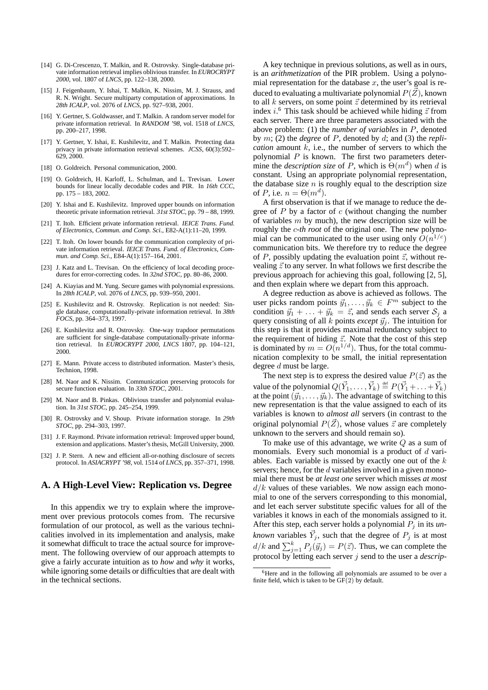- [14] G. Di-Crescenzo, T. Malkin, and R. Ostrovsky. Single-database private information retrieval implies oblivious transfer. In *EUROCRYPT 2000*, vol. 1807 of *LNCS*, pp. 122–138, 2000.
- [15] J. Feigenbaum, Y. Ishai, T. Malkin, K. Nissim, M. J. Strauss, and R. N. Wright. Secure multiparty computation of approximations. In *28th ICALP*, vol. 2076 of *LNCS*, pp. 927–938, 2001.
- [16] Y. Gertner, S. Goldwasser, and T. Malkin. A random server model for private information retrieval. In *RANDOM '98*, vol. 1518 of *LNCS*, pp. 200–217, 1998.
- [17] Y. Gertner, Y. Ishai, E. Kushilevitz, and T. Malkin. Protecting data privacy in private information retrieval schemes. *JCSS*, 60(3):592– 629, 2000.
- [18] O. Goldreich. Personal communication, 2000.
- [19] O. Goldreich, H. Karloff, L. Schulman, and L. Trevisan. Lower bounds for linear locally decodable codes and PIR. In *16th CCC*, pp. 175 – 183, 2002.
- [20] Y. Ishai and E. Kushilevitz. Improved upper bounds on information theoretic private information retrieval. *31st STOC*, pp. 79 – 88, 1999.
- [21] T. Itoh. Efficient private information retrieval. *IEICE Trans. Fund. of Electronics, Commun. and Comp. Sci.*, E82-A(1):11–20, 1999.
- [22] T. Itoh. On lower bounds for the communication complexity of private information retrieval. *IEICE Trans. Fund. of Electronics, Commun. and Comp. Sci.*, E84-A(1):157–164, 2001.
- [23] J. Katz and L. Trevisan. On the efficiency of local decoding procedures for error-correcting codes. In *32nd STOC*, pp. 80–86, 2000.
- [24] A. Kiayias and M. Yung. Secure games with polynomial expressions. In *28th ICALP*, vol. 2076 of *LNCS*, pp. 939–950, 2001.
- [25] E. Kushilevitz and R. Ostrovsky. Replication is not needed: Single database, computationally-private information retrieval. In *38th FOCS*, pp. 364–373, 1997.
- [26] E. Kushilevitz and R. Ostrovsky. One-way trapdoor permutations are sufficient for single-database computationally-private information retrieval. In *EUROCRYPT 2000*, *LNCS* 1807, pp. 104–121, 2000.
- [27] E. Mann. Private access to distributed information. Master's thesis, Technion, 1998.
- [28] M. Naor and K. Nissim. Communication preserving protocols for secure function evaluation. In *33th STOC*, 2001.
- [29] M. Naor and B. Pinkas. Oblivious transfer and polynomial evaluation. In *31st STOC*, pp. 245–254, 1999.
- [30] R. Ostrovsky and V. Shoup. Private information storage. In *29th STOC*, pp. 294–303, 1997.
- [31] J. F. Raymond. Private information retrieval: Improved upper bound, extension and applications. Master's thesis, McGill University, 2000.
- [32] J. P. Stern. A new and efficient all-or-nothing disclosure of secrets protocol. In *ASIACRYPT '98*, vol. 1514 of *LNCS*, pp. 357–371, 1998.

## **A. A High-Level View: Replication vs. Degree**

In this appendix we try to explain where the improvement over previous protocols comes from. The recursive formulation of our protocol, as well as the various technicalities involved in its implementation and analysis, make it somewhat difficult to trace the actual source for improvement. The following overview of our approach attempts to give a fairly accurate intuition as to *how* and *why* it works, while ignoring some details or difficulties that are dealt with in the technical sections.

A key technique in previous solutions, as well as in ours, is an *arithmetization* of the PIR problem. Using a polynomial representation for the database  $x$ , the user's goal is reduced to evaluating a multivariate polynomial  $P(\vec{Z})$ , known to all  $k$  servers, on some point  $\vec{z}$  determined by its retrieval index  $i$ .<sup>6</sup> This task should be achieved while hiding  $\vec{z}$  from each server. There are three parameters associated with the above problem: (1) the *number of variables* in P, denoted by m; (2) the *degree* of P, denoted by d; and (3) the *replication* amount  $k$ , i.e., the number of servers to which the polynomial  $P$  is known. The first two parameters determine the *description size* of P, which is  $\Theta(m^d)$  when d is constant. Using an appropriate polynomial representation, the database size  $n$  is roughly equal to the description size of P, i.e.  $n = \Theta(m^d)$ .

A first observation is that if we manage to reduce the degree of  $P$  by a factor of  $c$  (without changing the number of variables  $m$  by much), the new description size will be roughly the c*-th root* of the original one. The new polynomial can be communicated to the user using only  $O(n^{1/c})$ communication bits. We therefore try to reduce the degree of P, possibly updating the evaluation point  $\vec{z}$ , without revealing  $\vec{z}$  to any server. In what follows we first describe the previous approach for achieving this goal, following [2, 5], and then explain where we depart from this approach.

A degree reduction as above is achieved as follows. The user picks random points  $\vec{y}_1, \dots, \vec{y}_k \in F^m$  subject to the condition  $\vec{y}_1 + \ldots + \vec{y}_k = \vec{z}$ , and sends each server  $S_j$  a query consisting of all  $k$  points *except*  $\vec{y}_i$ . The intuition for this step is that it provides maximal redundancy subject to the requirement of hiding  $\vec{z}$ . Note that the cost of this step is dominated by  $m = O(n^{1/d})$ . Thus, for the total communication complexity to be small, the initial representation degree d must be large.

The next step is to express the desired value  $P(\vec{z})$  as the value of the polynomial  $Q(\vec{Y}_1, \ldots, \vec{Y}_k) \stackrel{\text{def}}{=} P(\vec{Y}_1 + \ldots + \vec{Y}_k)$ at the point  $({\vec{y}}_1, \ldots, {\vec{y}}_k)$ . The advantage of switching to this new representation is that the value assigned to each of its variables is known to *almost all* servers (in contrast to the original polynomial  $P(\vec{Z})$ , whose values  $\vec{z}$  are completely unknown to the servers and should remain so).

To make use of this advantage, we write  $Q$  as a sum of monomials. Every such monomial is a product of  $d$  variables. Each variable is missed by exactly one out of the  $k$ servers; hence, for the d variables involved in a given monomial there must be *at least one* server which misses *at most*  $d/k$  values of these variables. We now assign each monomial to one of the servers corresponding to this monomial, and let each server substitute specific values for all of the variables it knows in each of the monomials assigned to it. After this step, each server holds a polynomial  $P_j$  in its *unknown* variables  $\vec{Y}_j$ , such that the degree of  $P_j$  is at most  $d/k$  and  $\sum_{j=1}^{k} P_j(\vec{y}_j) = P(\vec{z})$ . Thus, we can complete the protocol by letting each server j send to the user a *descrip-*

<sup>6</sup>Here and in the following all polynomials are assumed to be over a finite field, which is taken to be  $GF(2)$  by default.